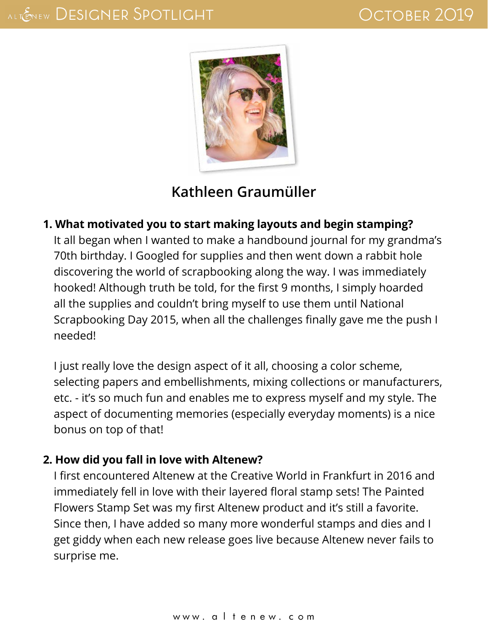

# **[Kathleen Graumüller](http://www.scatteredconfetti.com/)**

#### **1. What motivated you to start making layouts and begin stamping?**

It all began when I wanted to make a handbound journal for my grandma's 70th birthday. I Googled for supplies and then went down a rabbit hole discovering the world of scrapbooking along the way. I was immediately hooked! Although truth be told, for the first 9 months, I simply hoarded all the supplies and couldn't bring myself to use them until National Scrapbooking Day 2015, when all the challenges finally gave me the push I needed!

I just really love the design aspect of it all, choosing a color scheme, selecting papers and embellishments, mixing collections or manufacturers, etc. - it's so much fun and enables me to express myself and my style. The aspect of documenting memories (especially everyday moments) is a nice bonus on top of that!

#### **2. How did you fall in love with Altenew?**

I first encountered Altenew at the Creative World in Frankfurt in 2016 and immediately fell in love with their layered floral stamp sets! The Painted Flowers Stamp Set was my first Altenew product and it's still a favorite. Since then, I have added so many more wonderful stamps and dies and I get giddy when each new release goes live because Altenew never fails to surprise me.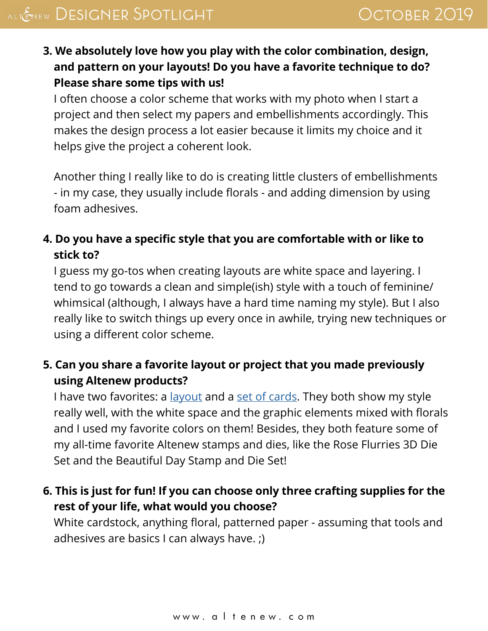**3. We absolutely love how you play with the color combination, design, and pattern on your layouts! Do you have a favorite technique to do? Please share some tips with us!**

I often choose a color scheme that works with my photo when I start a project and then select my papers and embellishments accordingly. This makes the design process a lot easier because it limits my choice and it helps give the project a coherent look.

Another thing I really like to do is creating little clusters of embellishments - in my case, they usually include florals - and adding dimension by using foam adhesives.

#### **4. Do you have a specific style that you are comfortable with or like to stick to?**

I guess my go-tos when creating layouts are white space and layering. I tend to go towards a clean and simple(ish) style with a touch of feminine/ whimsical (although, I always have a hard time naming my style). But I also really like to switch things up every once in awhile, trying new techniques or using a different color scheme.

## **5. Can you share a favorite layout or project that you made previously using Altenew products?**

I have two favorites: a [layout](http://www.scatteredconfetti.com/2019/03/buildaflower-dahlia-altenew/) and a [set of cards.](http://www.scatteredconfetti.com/2018/11/altenew-november-stencil-ink-spray-release-bloghop/) They both show my style really well, with the white space and the graphic elements mixed with florals and I used my favorite colors on them! Besides, they both feature some of my all-time favorite Altenew stamps and dies, like the Rose Flurries 3D Die Set and the Beautiful Day Stamp and Die Set!

## **6. This is just for fun! If you can choose only three crafting supplies for the rest of your life, what would you choose?**

White cardstock, anything floral, patterned paper - assuming that tools and adhesives are basics I can always have. ;)